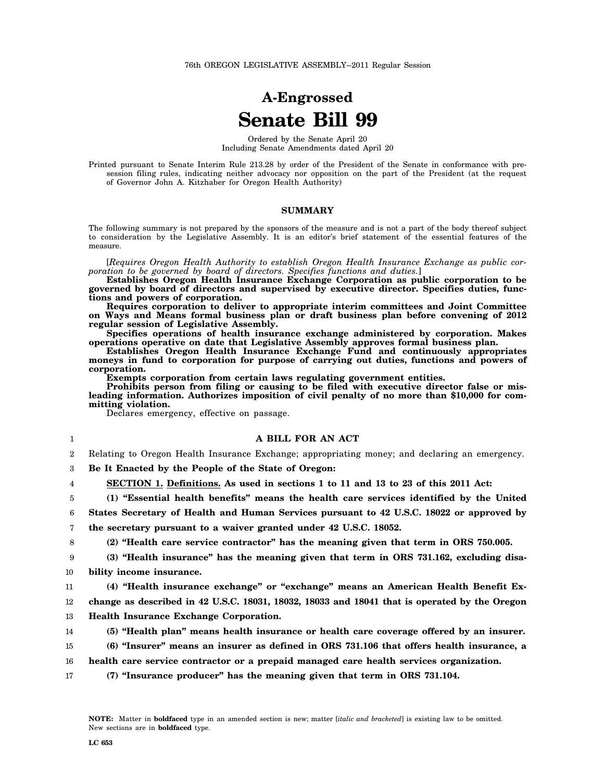# **A-Engrossed Senate Bill 99**

Ordered by the Senate April 20 Including Senate Amendments dated April 20

Printed pursuant to Senate Interim Rule 213.28 by order of the President of the Senate in conformance with presession filing rules, indicating neither advocacy nor opposition on the part of the President (at the request of Governor John A. Kitzhaber for Oregon Health Authority)

### **SUMMARY**

The following summary is not prepared by the sponsors of the measure and is not a part of the body thereof subject to consideration by the Legislative Assembly. It is an editor's brief statement of the essential features of the measure.

[*Requires Oregon Health Authority to establish Oregon Health Insurance Exchange as public corporation to be governed by board of directors. Specifies functions and duties.*]

**Establishes Oregon Health Insurance Exchange Corporation as public corporation to be governed by board of directors and supervised by executive director. Specifies duties, functions and powers of corporation.**

**Requires corporation to deliver to appropriate interim committees and Joint Committee on Ways and Means formal business plan or draft business plan before convening of 2012 regular session of Legislative Assembly.**

**Specifies operations of health insurance exchange administered by corporation. Makes operations operative on date that Legislative Assembly approves formal business plan.**

**Establishes Oregon Health Insurance Exchange Fund and continuously appropriates moneys in fund to corporation for purpose of carrying out duties, functions and powers of corporation.**

**Exempts corporation from certain laws regulating government entities.**

**Prohibits person from filing or causing to be filed with executive director false or misleading information. Authorizes imposition of civil penalty of no more than \$10,000 for committing violation.**

Declares emergency, effective on passage.

| 1              | A BILL FOR AN ACT                                                                              |
|----------------|------------------------------------------------------------------------------------------------|
| $\overline{2}$ | Relating to Oregon Health Insurance Exchange; appropriating money; and declaring an emergency. |
| 3              | Be It Enacted by the People of the State of Oregon:                                            |
| 4              | SECTION 1. Definitions. As used in sections 1 to 11 and 13 to 23 of this 2011 Act:             |
| 5              | (1) "Essential health benefits" means the health care services identified by the United        |
| 6              | States Secretary of Health and Human Services pursuant to 42 U.S.C. 18022 or approved by       |
| 7              | the secretary pursuant to a waiver granted under 42 U.S.C. 18052.                              |
| 8              | (2) "Health care service contractor" has the meaning given that term in ORS 750.005.           |
| 9              | (3) "Health insurance" has the meaning given that term in ORS 731.162, excluding disa-         |
| 10             | bility income insurance.                                                                       |
| 11             | (4) "Health insurance exchange" or "exchange" means an American Health Benefit Ex-             |
| 12             | change as described in 42 U.S.C. 18031, 18032, 18033 and 18041 that is operated by the Oregon  |
| 13             | <b>Health Insurance Exchange Corporation.</b>                                                  |
| 14             | (5) "Health plan" means health insurance or health care coverage offered by an insurer.        |
| 15             | (6) "Insurer" means an insurer as defined in ORS 731.106 that offers health insurance, a       |
| 16             | health care service contractor or a prepaid managed care health services organization.         |
| 17             | (7) "Insurance producer" has the meaning given that term in ORS 731.104.                       |
|                |                                                                                                |
|                |                                                                                                |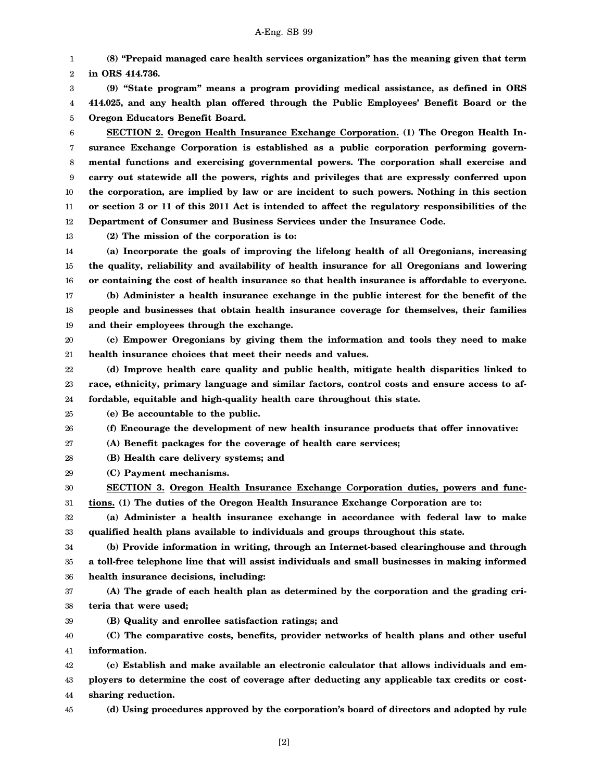1 2 3 **(8) "Prepaid managed care health services organization" has the meaning given that term in ORS 414.736. (9) "State program" means a program providing medical assistance, as defined in ORS**

4 5 **414.025, and any health plan offered through the Public Employees' Benefit Board or the Oregon Educators Benefit Board.**

6 7 8 9 10 11 12 **SECTION 2. Oregon Health Insurance Exchange Corporation. (1) The Oregon Health Insurance Exchange Corporation is established as a public corporation performing governmental functions and exercising governmental powers. The corporation shall exercise and carry out statewide all the powers, rights and privileges that are expressly conferred upon the corporation, are implied by law or are incident to such powers. Nothing in this section or section 3 or 11 of this 2011 Act is intended to affect the regulatory responsibilities of the Department of Consumer and Business Services under the Insurance Code.**

13

**(2) The mission of the corporation is to:**

14 15 16 **(a) Incorporate the goals of improving the lifelong health of all Oregonians, increasing the quality, reliability and availability of health insurance for all Oregonians and lowering or containing the cost of health insurance so that health insurance is affordable to everyone.**

17 18 19 **(b) Administer a health insurance exchange in the public interest for the benefit of the people and businesses that obtain health insurance coverage for themselves, their families and their employees through the exchange.**

20 21 **(c) Empower Oregonians by giving them the information and tools they need to make health insurance choices that meet their needs and values.**

22 23 24 **(d) Improve health care quality and public health, mitigate health disparities linked to race, ethnicity, primary language and similar factors, control costs and ensure access to affordable, equitable and high-quality health care throughout this state.**

25 **(e) Be accountable to the public.**

26 **(f) Encourage the development of new health insurance products that offer innovative:**

27 **(A) Benefit packages for the coverage of health care services;**

28 **(B) Health care delivery systems; and**

29 **(C) Payment mechanisms.**

30 31 **SECTION 3. Oregon Health Insurance Exchange Corporation duties, powers and functions. (1) The duties of the Oregon Health Insurance Exchange Corporation are to:**

32 33 **(a) Administer a health insurance exchange in accordance with federal law to make qualified health plans available to individuals and groups throughout this state.**

34 35 36 **(b) Provide information in writing, through an Internet-based clearinghouse and through a toll-free telephone line that will assist individuals and small businesses in making informed health insurance decisions, including:**

37 38 **(A) The grade of each health plan as determined by the corporation and the grading criteria that were used;**

**(B) Quality and enrollee satisfaction ratings; and**

40 41 **(C) The comparative costs, benefits, provider networks of health plans and other useful information.**

42 **(c) Establish and make available an electronic calculator that allows individuals and em-**

43 44 **ployers to determine the cost of coverage after deducting any applicable tax credits or costsharing reduction.**

45

39

**(d) Using procedures approved by the corporation's board of directors and adopted by rule**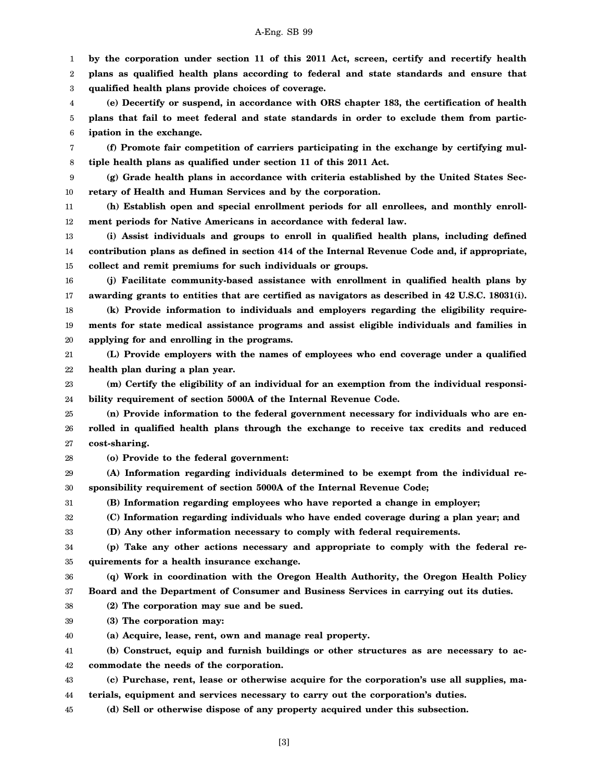1 2 3 4 5 6 7 8 9 10 11 12 13 14 15 16 17 18 19 20 21 22 23 24 25 26 27 28 29 30 31 32 33 34 35 36 37 38 39 40 41 42 43 **by the corporation under section 11 of this 2011 Act, screen, certify and recertify health plans as qualified health plans according to federal and state standards and ensure that qualified health plans provide choices of coverage. (e) Decertify or suspend, in accordance with ORS chapter 183, the certification of health plans that fail to meet federal and state standards in order to exclude them from participation in the exchange. (f) Promote fair competition of carriers participating in the exchange by certifying multiple health plans as qualified under section 11 of this 2011 Act. (g) Grade health plans in accordance with criteria established by the United States Secretary of Health and Human Services and by the corporation. (h) Establish open and special enrollment periods for all enrollees, and monthly enrollment periods for Native Americans in accordance with federal law. (i) Assist individuals and groups to enroll in qualified health plans, including defined contribution plans as defined in section 414 of the Internal Revenue Code and, if appropriate, collect and remit premiums for such individuals or groups. (j) Facilitate community-based assistance with enrollment in qualified health plans by awarding grants to entities that are certified as navigators as described in 42 U.S.C. 18031(i). (k) Provide information to individuals and employers regarding the eligibility requirements for state medical assistance programs and assist eligible individuals and families in applying for and enrolling in the programs. (L) Provide employers with the names of employees who end coverage under a qualified health plan during a plan year. (m) Certify the eligibility of an individual for an exemption from the individual responsibility requirement of section 5000A of the Internal Revenue Code. (n) Provide information to the federal government necessary for individuals who are enrolled in qualified health plans through the exchange to receive tax credits and reduced cost-sharing. (o) Provide to the federal government: (A) Information regarding individuals determined to be exempt from the individual responsibility requirement of section 5000A of the Internal Revenue Code; (B) Information regarding employees who have reported a change in employer; (C) Information regarding individuals who have ended coverage during a plan year; and (D) Any other information necessary to comply with federal requirements. (p) Take any other actions necessary and appropriate to comply with the federal requirements for a health insurance exchange. (q) Work in coordination with the Oregon Health Authority, the Oregon Health Policy Board and the Department of Consumer and Business Services in carrying out its duties. (2) The corporation may sue and be sued. (3) The corporation may: (a) Acquire, lease, rent, own and manage real property. (b) Construct, equip and furnish buildings or other structures as are necessary to accommodate the needs of the corporation. (c) Purchase, rent, lease or otherwise acquire for the corporation's use all supplies, ma-**

44 **terials, equipment and services necessary to carry out the corporation's duties.**

45 **(d) Sell or otherwise dispose of any property acquired under this subsection.**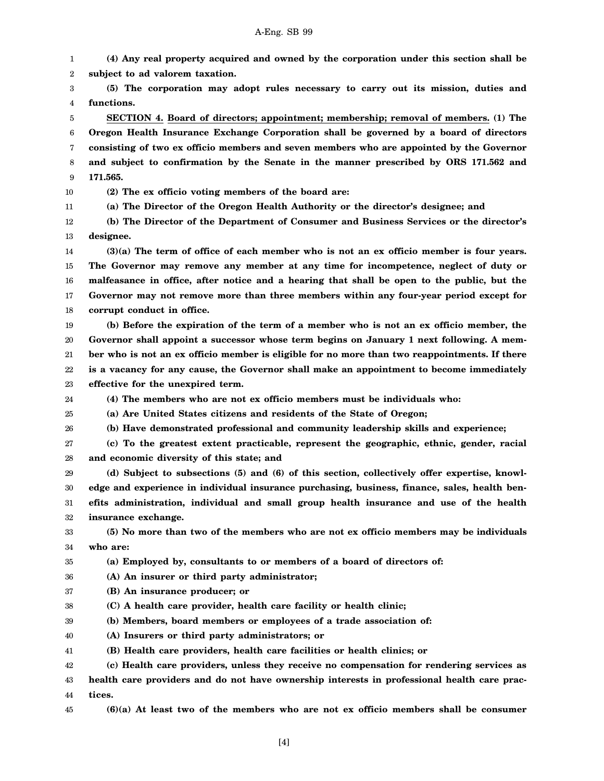1 2 3 4 5 6 7 8 9 10 11 12 13 14 15 16 17 18 19 20 21 22 23 24 25 26 27 28 29 30 31 32 33 34 35 36 37 38 39 40 41 42 43 44 **(4) Any real property acquired and owned by the corporation under this section shall be subject to ad valorem taxation. (5) The corporation may adopt rules necessary to carry out its mission, duties and functions. SECTION 4. Board of directors; appointment; membership; removal of members. (1) The Oregon Health Insurance Exchange Corporation shall be governed by a board of directors consisting of two ex officio members and seven members who are appointed by the Governor and subject to confirmation by the Senate in the manner prescribed by ORS 171.562 and 171.565. (2) The ex officio voting members of the board are: (a) The Director of the Oregon Health Authority or the director's designee; and (b) The Director of the Department of Consumer and Business Services or the director's designee. (3)(a) The term of office of each member who is not an ex officio member is four years. The Governor may remove any member at any time for incompetence, neglect of duty or malfeasance in office, after notice and a hearing that shall be open to the public, but the Governor may not remove more than three members within any four-year period except for corrupt conduct in office. (b) Before the expiration of the term of a member who is not an ex officio member, the Governor shall appoint a successor whose term begins on January 1 next following. A member who is not an ex officio member is eligible for no more than two reappointments. If there is a vacancy for any cause, the Governor shall make an appointment to become immediately effective for the unexpired term. (4) The members who are not ex officio members must be individuals who: (a) Are United States citizens and residents of the State of Oregon; (b) Have demonstrated professional and community leadership skills and experience; (c) To the greatest extent practicable, represent the geographic, ethnic, gender, racial and economic diversity of this state; and (d) Subject to subsections (5) and (6) of this section, collectively offer expertise, knowledge and experience in individual insurance purchasing, business, finance, sales, health benefits administration, individual and small group health insurance and use of the health insurance exchange. (5) No more than two of the members who are not ex officio members may be individuals who are: (a) Employed by, consultants to or members of a board of directors of: (A) An insurer or third party administrator; (B) An insurance producer; or (C) A health care provider, health care facility or health clinic; (b) Members, board members or employees of a trade association of: (A) Insurers or third party administrators; or (B) Health care providers, health care facilities or health clinics; or (c) Health care providers, unless they receive no compensation for rendering services as health care providers and do not have ownership interests in professional health care practices.**

45 **(6)(a) At least two of the members who are not ex officio members shall be consumer**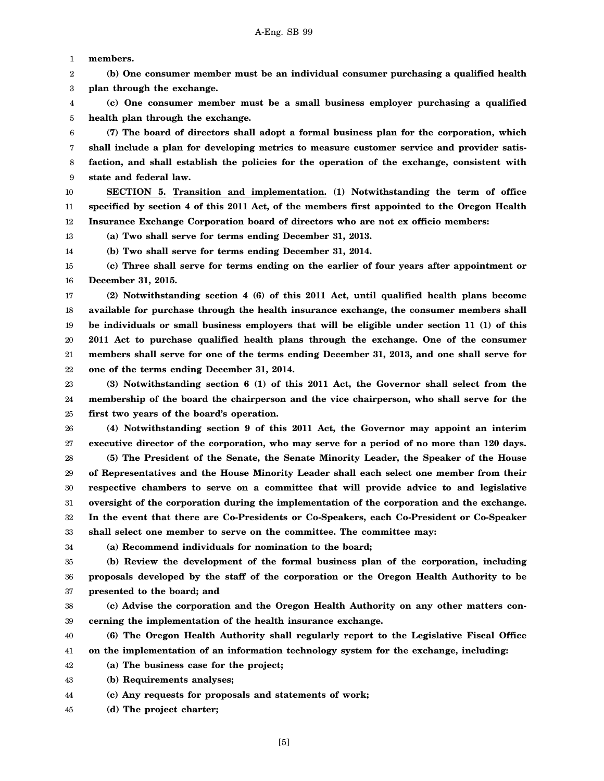1 **members.**

2 3 **(b) One consumer member must be an individual consumer purchasing a qualified health plan through the exchange.**

4 5 **(c) One consumer member must be a small business employer purchasing a qualified health plan through the exchange.**

6 7 8 9 **(7) The board of directors shall adopt a formal business plan for the corporation, which shall include a plan for developing metrics to measure customer service and provider satisfaction, and shall establish the policies for the operation of the exchange, consistent with state and federal law.**

10 11 12 **SECTION 5. Transition and implementation. (1) Notwithstanding the term of office specified by section 4 of this 2011 Act, of the members first appointed to the Oregon Health Insurance Exchange Corporation board of directors who are not ex officio members:**

**(a) Two shall serve for terms ending December 31, 2013.**

14 **(b) Two shall serve for terms ending December 31, 2014.**

15 16 **(c) Three shall serve for terms ending on the earlier of four years after appointment or December 31, 2015.**

17 18 19 20 21 22 **(2) Notwithstanding section 4 (6) of this 2011 Act, until qualified health plans become available for purchase through the health insurance exchange, the consumer members shall be individuals or small business employers that will be eligible under section 11 (1) of this 2011 Act to purchase qualified health plans through the exchange. One of the consumer members shall serve for one of the terms ending December 31, 2013, and one shall serve for one of the terms ending December 31, 2014.**

23 24 25 **(3) Notwithstanding section 6 (1) of this 2011 Act, the Governor shall select from the membership of the board the chairperson and the vice chairperson, who shall serve for the first two years of the board's operation.**

26 27 28 29 30 31 32 **(4) Notwithstanding section 9 of this 2011 Act, the Governor may appoint an interim executive director of the corporation, who may serve for a period of no more than 120 days. (5) The President of the Senate, the Senate Minority Leader, the Speaker of the House of Representatives and the House Minority Leader shall each select one member from their respective chambers to serve on a committee that will provide advice to and legislative oversight of the corporation during the implementation of the corporation and the exchange. In the event that there are Co-Presidents or Co-Speakers, each Co-President or Co-Speaker**

33 **shall select one member to serve on the committee. The committee may:**

34

13

**(a) Recommend individuals for nomination to the board;**

35 36 37 **(b) Review the development of the formal business plan of the corporation, including proposals developed by the staff of the corporation or the Oregon Health Authority to be presented to the board; and**

38 39 **(c) Advise the corporation and the Oregon Health Authority on any other matters concerning the implementation of the health insurance exchange.**

40 41 **(6) The Oregon Health Authority shall regularly report to the Legislative Fiscal Office on the implementation of an information technology system for the exchange, including:**

42 **(a) The business case for the project;**

43 **(b) Requirements analyses;**

44 **(c) Any requests for proposals and statements of work;**

45 **(d) The project charter;**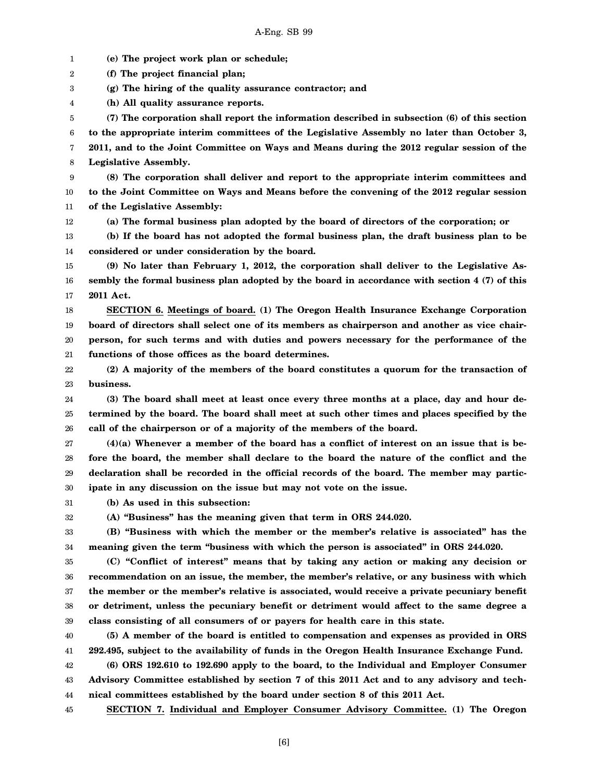1 2 3 4 5 6 7 8 9 10 11 12 13 14 15 16 17 18 19 20 21 22 23 24 25 26 27 28 29 30 31 32 33 34 35 36 37 38 39 40 41 42 43 44 **(e) The project work plan or schedule; (f) The project financial plan; (g) The hiring of the quality assurance contractor; and (h) All quality assurance reports. (7) The corporation shall report the information described in subsection (6) of this section to the appropriate interim committees of the Legislative Assembly no later than October 3, 2011, and to the Joint Committee on Ways and Means during the 2012 regular session of the Legislative Assembly. (8) The corporation shall deliver and report to the appropriate interim committees and to the Joint Committee on Ways and Means before the convening of the 2012 regular session of the Legislative Assembly: (a) The formal business plan adopted by the board of directors of the corporation; or (b) If the board has not adopted the formal business plan, the draft business plan to be considered or under consideration by the board. (9) No later than February 1, 2012, the corporation shall deliver to the Legislative Assembly the formal business plan adopted by the board in accordance with section 4 (7) of this 2011 Act. SECTION 6. Meetings of board. (1) The Oregon Health Insurance Exchange Corporation board of directors shall select one of its members as chairperson and another as vice chairperson, for such terms and with duties and powers necessary for the performance of the functions of those offices as the board determines. (2) A majority of the members of the board constitutes a quorum for the transaction of business. (3) The board shall meet at least once every three months at a place, day and hour determined by the board. The board shall meet at such other times and places specified by the call of the chairperson or of a majority of the members of the board. (4)(a) Whenever a member of the board has a conflict of interest on an issue that is before the board, the member shall declare to the board the nature of the conflict and the declaration shall be recorded in the official records of the board. The member may participate in any discussion on the issue but may not vote on the issue. (b) As used in this subsection: (A) "Business" has the meaning given that term in ORS 244.020. (B) "Business with which the member or the member's relative is associated" has the meaning given the term "business with which the person is associated" in ORS 244.020. (C) "Conflict of interest" means that by taking any action or making any decision or recommendation on an issue, the member, the member's relative, or any business with which the member or the member's relative is associated, would receive a private pecuniary benefit or detriment, unless the pecuniary benefit or detriment would affect to the same degree a class consisting of all consumers of or payers for health care in this state. (5) A member of the board is entitled to compensation and expenses as provided in ORS 292.495, subject to the availability of funds in the Oregon Health Insurance Exchange Fund. (6) ORS 192.610 to 192.690 apply to the board, to the Individual and Employer Consumer Advisory Committee established by section 7 of this 2011 Act and to any advisory and technical committees established by the board under section 8 of this 2011 Act.**

45 **SECTION 7. Individual and Employer Consumer Advisory Committee. (1) The Oregon**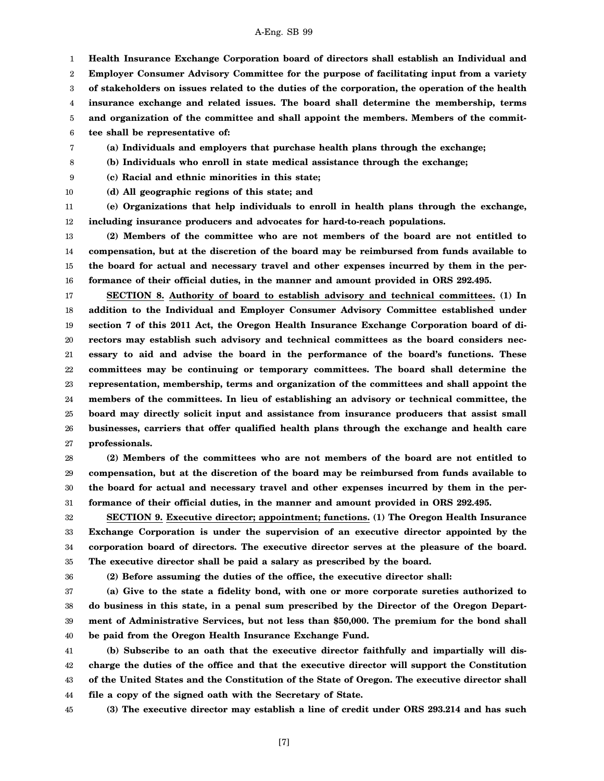1 2 3 4 5 **Health Insurance Exchange Corporation board of directors shall establish an Individual and Employer Consumer Advisory Committee for the purpose of facilitating input from a variety of stakeholders on issues related to the duties of the corporation, the operation of the health insurance exchange and related issues. The board shall determine the membership, terms and organization of the committee and shall appoint the members. Members of the commit-**

6 **tee shall be representative of:**

**(a) Individuals and employers that purchase health plans through the exchange;**

8 **(b) Individuals who enroll in state medical assistance through the exchange;**

9 **(c) Racial and ethnic minorities in this state;**

10 **(d) All geographic regions of this state; and**

7

11 12 **(e) Organizations that help individuals to enroll in health plans through the exchange, including insurance producers and advocates for hard-to-reach populations.**

13 14 15 16 **(2) Members of the committee who are not members of the board are not entitled to compensation, but at the discretion of the board may be reimbursed from funds available to the board for actual and necessary travel and other expenses incurred by them in the performance of their official duties, in the manner and amount provided in ORS 292.495.**

17 18 19 20 21 22 23 24 25 26 27 **SECTION 8. Authority of board to establish advisory and technical committees. (1) In addition to the Individual and Employer Consumer Advisory Committee established under section 7 of this 2011 Act, the Oregon Health Insurance Exchange Corporation board of directors may establish such advisory and technical committees as the board considers necessary to aid and advise the board in the performance of the board's functions. These committees may be continuing or temporary committees. The board shall determine the representation, membership, terms and organization of the committees and shall appoint the members of the committees. In lieu of establishing an advisory or technical committee, the board may directly solicit input and assistance from insurance producers that assist small businesses, carriers that offer qualified health plans through the exchange and health care professionals.**

28 29 30 31 **(2) Members of the committees who are not members of the board are not entitled to compensation, but at the discretion of the board may be reimbursed from funds available to the board for actual and necessary travel and other expenses incurred by them in the performance of their official duties, in the manner and amount provided in ORS 292.495.**

32 33 34 35 **SECTION 9. Executive director; appointment; functions. (1) The Oregon Health Insurance Exchange Corporation is under the supervision of an executive director appointed by the corporation board of directors. The executive director serves at the pleasure of the board. The executive director shall be paid a salary as prescribed by the board.**

36

**(2) Before assuming the duties of the office, the executive director shall:**

37 38 39 40 **(a) Give to the state a fidelity bond, with one or more corporate sureties authorized to do business in this state, in a penal sum prescribed by the Director of the Oregon Department of Administrative Services, but not less than \$50,000. The premium for the bond shall be paid from the Oregon Health Insurance Exchange Fund.**

41 42 43 44 **(b) Subscribe to an oath that the executive director faithfully and impartially will discharge the duties of the office and that the executive director will support the Constitution of the United States and the Constitution of the State of Oregon. The executive director shall file a copy of the signed oath with the Secretary of State.**

45

**(3) The executive director may establish a line of credit under ORS 293.214 and has such**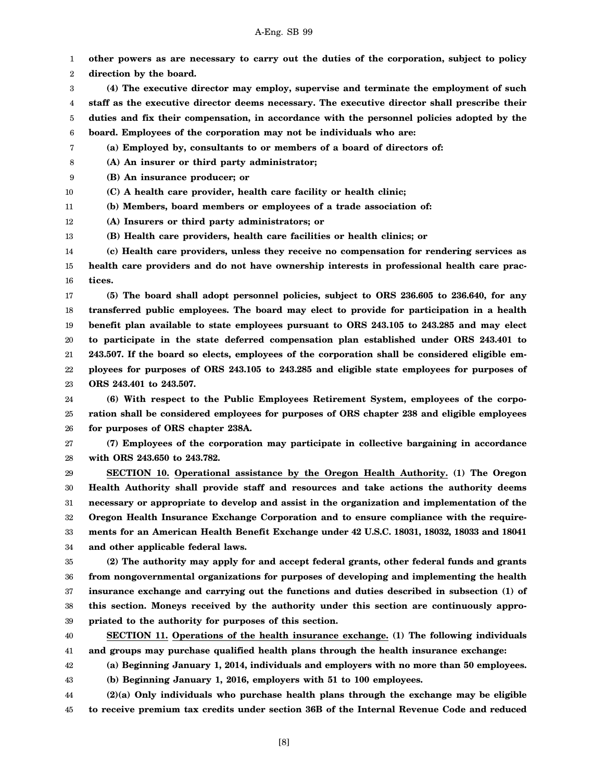[8]

A-Eng. SB 99

1 **other powers as are necessary to carry out the duties of the corporation, subject to policy**

2 **direction by the board.**

3 4 5 6 **(4) The executive director may employ, supervise and terminate the employment of such staff as the executive director deems necessary. The executive director shall prescribe their duties and fix their compensation, in accordance with the personnel policies adopted by the board. Employees of the corporation may not be individuals who are:**

7 **(a) Employed by, consultants to or members of a board of directors of:**

8 **(A) An insurer or third party administrator;**

9 **(B) An insurance producer; or**

10 **(C) A health care provider, health care facility or health clinic;**

11 **(b) Members, board members or employees of a trade association of:**

12 **(A) Insurers or third party administrators; or**

13 **(B) Health care providers, health care facilities or health clinics; or**

14 15 16 **(c) Health care providers, unless they receive no compensation for rendering services as health care providers and do not have ownership interests in professional health care practices.**

17 18 19 20 21 22 23 **(5) The board shall adopt personnel policies, subject to ORS 236.605 to 236.640, for any transferred public employees. The board may elect to provide for participation in a health benefit plan available to state employees pursuant to ORS 243.105 to 243.285 and may elect to participate in the state deferred compensation plan established under ORS 243.401 to 243.507. If the board so elects, employees of the corporation shall be considered eligible employees for purposes of ORS 243.105 to 243.285 and eligible state employees for purposes of ORS 243.401 to 243.507.**

24 25 26 **(6) With respect to the Public Employees Retirement System, employees of the corporation shall be considered employees for purposes of ORS chapter 238 and eligible employees for purposes of ORS chapter 238A.**

27 28 **(7) Employees of the corporation may participate in collective bargaining in accordance with ORS 243.650 to 243.782.**

29 30 31 32 33 34 **SECTION 10. Operational assistance by the Oregon Health Authority. (1) The Oregon Health Authority shall provide staff and resources and take actions the authority deems necessary or appropriate to develop and assist in the organization and implementation of the Oregon Health Insurance Exchange Corporation and to ensure compliance with the requirements for an American Health Benefit Exchange under 42 U.S.C. 18031, 18032, 18033 and 18041 and other applicable federal laws.**

35 36 37 38 39 **(2) The authority may apply for and accept federal grants, other federal funds and grants from nongovernmental organizations for purposes of developing and implementing the health insurance exchange and carrying out the functions and duties described in subsection (1) of this section. Moneys received by the authority under this section are continuously appropriated to the authority for purposes of this section.**

40 41 **SECTION 11. Operations of the health insurance exchange. (1) The following individuals and groups may purchase qualified health plans through the health insurance exchange:**

42 **(a) Beginning January 1, 2014, individuals and employers with no more than 50 employees. (b) Beginning January 1, 2016, employers with 51 to 100 employees.**

43

44 45 **(2)(a) Only individuals who purchase health plans through the exchange may be eligible to receive premium tax credits under section 36B of the Internal Revenue Code and reduced**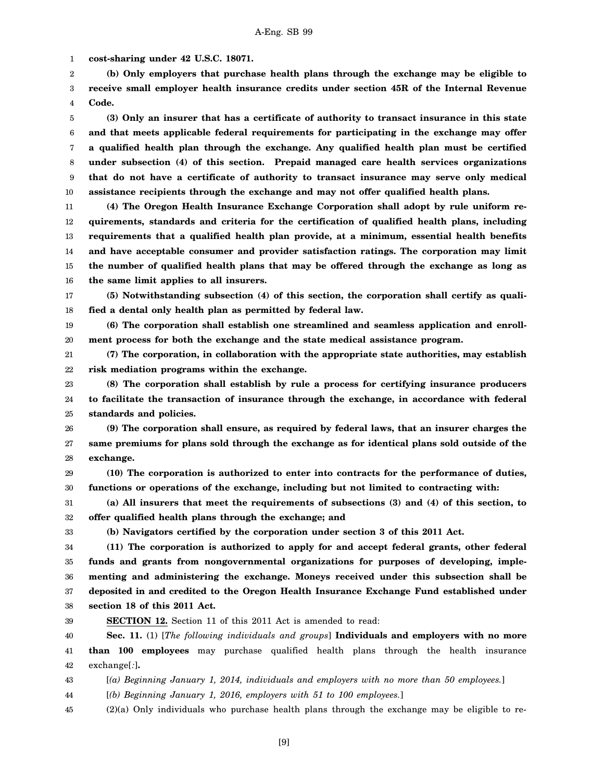1 **cost-sharing under 42 U.S.C. 18071.**

2 3 4 **(b) Only employers that purchase health plans through the exchange may be eligible to receive small employer health insurance credits under section 45R of the Internal Revenue Code.**

5 6 7 8 9 10 **(3) Only an insurer that has a certificate of authority to transact insurance in this state and that meets applicable federal requirements for participating in the exchange may offer a qualified health plan through the exchange. Any qualified health plan must be certified under subsection (4) of this section. Prepaid managed care health services organizations that do not have a certificate of authority to transact insurance may serve only medical assistance recipients through the exchange and may not offer qualified health plans.**

11 12 13 14 15 16 **(4) The Oregon Health Insurance Exchange Corporation shall adopt by rule uniform requirements, standards and criteria for the certification of qualified health plans, including requirements that a qualified health plan provide, at a minimum, essential health benefits and have acceptable consumer and provider satisfaction ratings. The corporation may limit the number of qualified health plans that may be offered through the exchange as long as the same limit applies to all insurers.**

17 18 **(5) Notwithstanding subsection (4) of this section, the corporation shall certify as qualified a dental only health plan as permitted by federal law.**

19 20 **(6) The corporation shall establish one streamlined and seamless application and enrollment process for both the exchange and the state medical assistance program.**

21 22 **(7) The corporation, in collaboration with the appropriate state authorities, may establish risk mediation programs within the exchange.**

23 24 25 **(8) The corporation shall establish by rule a process for certifying insurance producers to facilitate the transaction of insurance through the exchange, in accordance with federal standards and policies.**

26 27 28 **(9) The corporation shall ensure, as required by federal laws, that an insurer charges the same premiums for plans sold through the exchange as for identical plans sold outside of the exchange.**

29 30 **(10) The corporation is authorized to enter into contracts for the performance of duties, functions or operations of the exchange, including but not limited to contracting with:**

31 32 **(a) All insurers that meet the requirements of subsections (3) and (4) of this section, to offer qualified health plans through the exchange; and**

33

39

**(b) Navigators certified by the corporation under section 3 of this 2011 Act.**

34 35 36 37 38 **(11) The corporation is authorized to apply for and accept federal grants, other federal funds and grants from nongovernmental organizations for purposes of developing, implementing and administering the exchange. Moneys received under this subsection shall be deposited in and credited to the Oregon Health Insurance Exchange Fund established under section 18 of this 2011 Act.**

**SECTION 12.** Section 11 of this 2011 Act is amended to read:

40 41 42 **Sec. 11.** (1) [*The following individuals and groups*] **Individuals and employers with no more than 100 employees** may purchase qualified health plans through the health insurance exchange[*:*]**.**

43 [*(a) Beginning January 1, 2014, individuals and employers with no more than 50 employees.*]

44 [*(b) Beginning January 1, 2016, employers with 51 to 100 employees.*]

45 (2)(a) Only individuals who purchase health plans through the exchange may be eligible to re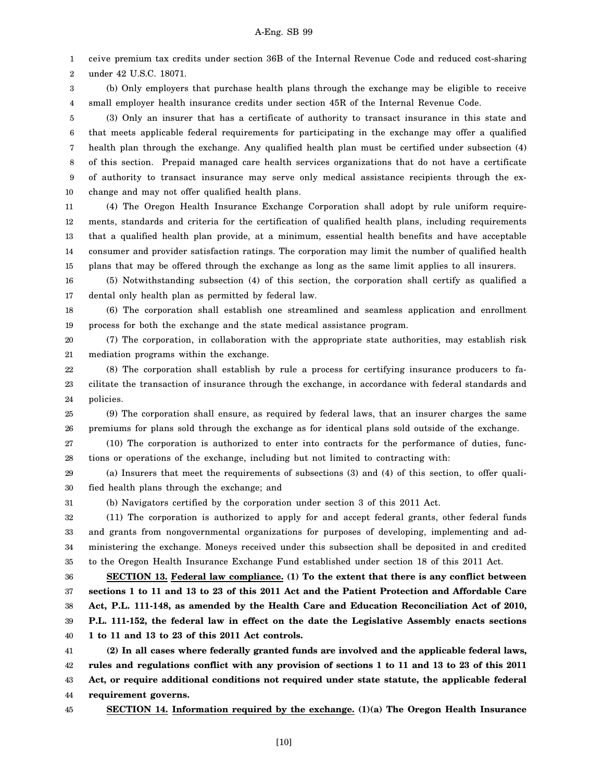1 ceive premium tax credits under section 36B of the Internal Revenue Code and reduced cost-sharing

2 under 42 U.S.C. 18071.

3 4 (b) Only employers that purchase health plans through the exchange may be eligible to receive small employer health insurance credits under section 45R of the Internal Revenue Code.

5 6 7 8 9 10 (3) Only an insurer that has a certificate of authority to transact insurance in this state and that meets applicable federal requirements for participating in the exchange may offer a qualified health plan through the exchange. Any qualified health plan must be certified under subsection (4) of this section. Prepaid managed care health services organizations that do not have a certificate of authority to transact insurance may serve only medical assistance recipients through the exchange and may not offer qualified health plans.

11 12 13 14 15 (4) The Oregon Health Insurance Exchange Corporation shall adopt by rule uniform requirements, standards and criteria for the certification of qualified health plans, including requirements that a qualified health plan provide, at a minimum, essential health benefits and have acceptable consumer and provider satisfaction ratings. The corporation may limit the number of qualified health plans that may be offered through the exchange as long as the same limit applies to all insurers.

16 17 (5) Notwithstanding subsection (4) of this section, the corporation shall certify as qualified a dental only health plan as permitted by federal law.

18 19 (6) The corporation shall establish one streamlined and seamless application and enrollment process for both the exchange and the state medical assistance program.

20 21 (7) The corporation, in collaboration with the appropriate state authorities, may establish risk mediation programs within the exchange.

22 23 24 (8) The corporation shall establish by rule a process for certifying insurance producers to facilitate the transaction of insurance through the exchange, in accordance with federal standards and policies.

25 26 (9) The corporation shall ensure, as required by federal laws, that an insurer charges the same premiums for plans sold through the exchange as for identical plans sold outside of the exchange.

27 28 (10) The corporation is authorized to enter into contracts for the performance of duties, functions or operations of the exchange, including but not limited to contracting with:

29 30 (a) Insurers that meet the requirements of subsections (3) and (4) of this section, to offer qualified health plans through the exchange; and

31

(b) Navigators certified by the corporation under section 3 of this 2011 Act.

32 33 34 35 (11) The corporation is authorized to apply for and accept federal grants, other federal funds and grants from nongovernmental organizations for purposes of developing, implementing and administering the exchange. Moneys received under this subsection shall be deposited in and credited to the Oregon Health Insurance Exchange Fund established under section 18 of this 2011 Act.

36 37 38 39 40 **SECTION 13. Federal law compliance. (1) To the extent that there is any conflict between sections 1 to 11 and 13 to 23 of this 2011 Act and the Patient Protection and Affordable Care Act, P.L. 111-148, as amended by the Health Care and Education Reconciliation Act of 2010, P.L. 111-152, the federal law in effect on the date the Legislative Assembly enacts sections 1 to 11 and 13 to 23 of this 2011 Act controls.**

41 42 43 44 **(2) In all cases where federally granted funds are involved and the applicable federal laws, rules and regulations conflict with any provision of sections 1 to 11 and 13 to 23 of this 2011 Act, or require additional conditions not required under state statute, the applicable federal requirement governs.**

45

**SECTION 14. Information required by the exchange. (1)(a) The Oregon Health Insurance**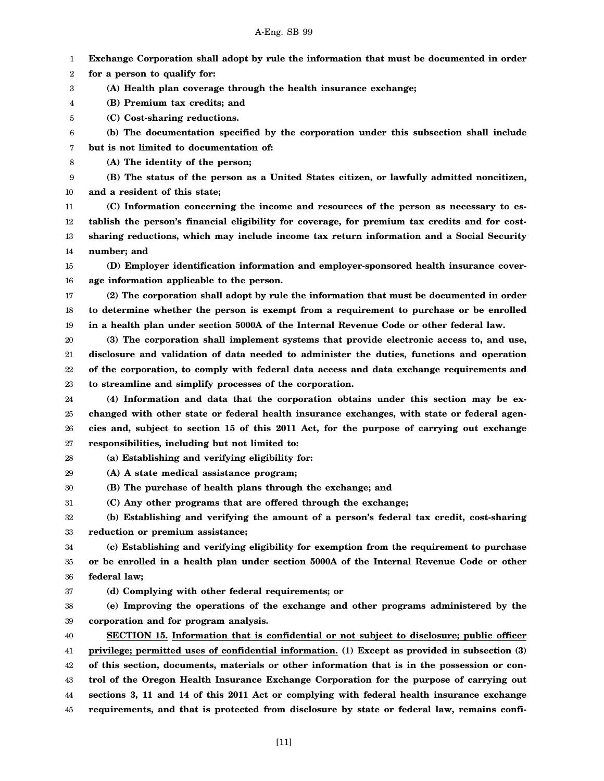1 **Exchange Corporation shall adopt by rule the information that must be documented in order**

2 **for a person to qualify for:**

- 3 **(A) Health plan coverage through the health insurance exchange;**
- 4 **(B) Premium tax credits; and**
- 5 **(C) Cost-sharing reductions.**
- 6 **(b) The documentation specified by the corporation under this subsection shall include**

7 **but is not limited to documentation of:**

8 **(A) The identity of the person;**

9 **(B) The status of the person as a United States citizen, or lawfully admitted noncitizen,**

10 **and a resident of this state;**

11 12 13 14 **(C) Information concerning the income and resources of the person as necessary to establish the person's financial eligibility for coverage, for premium tax credits and for costsharing reductions, which may include income tax return information and a Social Security number; and**

15 16 **(D) Employer identification information and employer-sponsored health insurance coverage information applicable to the person.**

17 18 19 **(2) The corporation shall adopt by rule the information that must be documented in order to determine whether the person is exempt from a requirement to purchase or be enrolled in a health plan under section 5000A of the Internal Revenue Code or other federal law.**

20 21 22 23 **(3) The corporation shall implement systems that provide electronic access to, and use, disclosure and validation of data needed to administer the duties, functions and operation of the corporation, to comply with federal data access and data exchange requirements and to streamline and simplify processes of the corporation.**

24 25 26 27 **(4) Information and data that the corporation obtains under this section may be exchanged with other state or federal health insurance exchanges, with state or federal agencies and, subject to section 15 of this 2011 Act, for the purpose of carrying out exchange responsibilities, including but not limited to:**

28 **(a) Establishing and verifying eligibility for:**

29 **(A) A state medical assistance program;**

30 **(B) The purchase of health plans through the exchange; and**

31 **(C) Any other programs that are offered through the exchange;**

32 33 **(b) Establishing and verifying the amount of a person's federal tax credit, cost-sharing reduction or premium assistance;**

34 35 36 **(c) Establishing and verifying eligibility for exemption from the requirement to purchase or be enrolled in a health plan under section 5000A of the Internal Revenue Code or other federal law;**

37 **(d) Complying with other federal requirements; or**

38 39 **(e) Improving the operations of the exchange and other programs administered by the corporation and for program analysis.**

40 41 **SECTION 15. Information that is confidential or not subject to disclosure; public officer privilege; permitted uses of confidential information. (1) Except as provided in subsection (3)**

42 43 44 45 **of this section, documents, materials or other information that is in the possession or control of the Oregon Health Insurance Exchange Corporation for the purpose of carrying out sections 3, 11 and 14 of this 2011 Act or complying with federal health insurance exchange requirements, and that is protected from disclosure by state or federal law, remains confi-**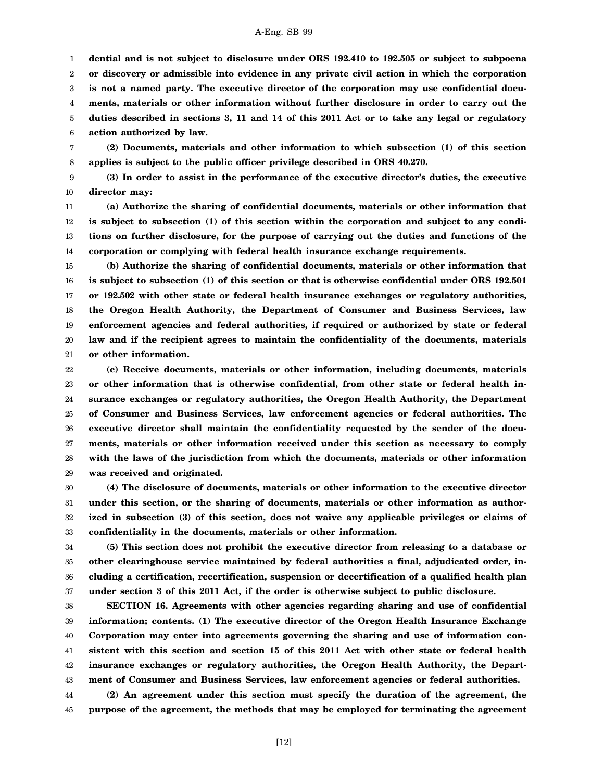1 2 3 4 5 6 **dential and is not subject to disclosure under ORS 192.410 to 192.505 or subject to subpoena or discovery or admissible into evidence in any private civil action in which the corporation is not a named party. The executive director of the corporation may use confidential documents, materials or other information without further disclosure in order to carry out the duties described in sections 3, 11 and 14 of this 2011 Act or to take any legal or regulatory action authorized by law.**

7 8 **(2) Documents, materials and other information to which subsection (1) of this section applies is subject to the public officer privilege described in ORS 40.270.**

9 10 **(3) In order to assist in the performance of the executive director's duties, the executive director may:**

11 12 13 14 **(a) Authorize the sharing of confidential documents, materials or other information that is subject to subsection (1) of this section within the corporation and subject to any conditions on further disclosure, for the purpose of carrying out the duties and functions of the corporation or complying with federal health insurance exchange requirements.**

15 16 17 18 19 20 21 **(b) Authorize the sharing of confidential documents, materials or other information that is subject to subsection (1) of this section or that is otherwise confidential under ORS 192.501 or 192.502 with other state or federal health insurance exchanges or regulatory authorities, the Oregon Health Authority, the Department of Consumer and Business Services, law enforcement agencies and federal authorities, if required or authorized by state or federal law and if the recipient agrees to maintain the confidentiality of the documents, materials or other information.**

22 23 24 25 26 27 28 29 **(c) Receive documents, materials or other information, including documents, materials or other information that is otherwise confidential, from other state or federal health insurance exchanges or regulatory authorities, the Oregon Health Authority, the Department of Consumer and Business Services, law enforcement agencies or federal authorities. The executive director shall maintain the confidentiality requested by the sender of the documents, materials or other information received under this section as necessary to comply with the laws of the jurisdiction from which the documents, materials or other information was received and originated.**

30 31 32 33 **(4) The disclosure of documents, materials or other information to the executive director under this section, or the sharing of documents, materials or other information as authorized in subsection (3) of this section, does not waive any applicable privileges or claims of confidentiality in the documents, materials or other information.**

34 35 36 37 **(5) This section does not prohibit the executive director from releasing to a database or other clearinghouse service maintained by federal authorities a final, adjudicated order, including a certification, recertification, suspension or decertification of a qualified health plan under section 3 of this 2011 Act, if the order is otherwise subject to public disclosure.**

38 39 40 41 42 43 **SECTION 16. Agreements with other agencies regarding sharing and use of confidential information; contents. (1) The executive director of the Oregon Health Insurance Exchange Corporation may enter into agreements governing the sharing and use of information consistent with this section and section 15 of this 2011 Act with other state or federal health insurance exchanges or regulatory authorities, the Oregon Health Authority, the Department of Consumer and Business Services, law enforcement agencies or federal authorities.**

44 45 **(2) An agreement under this section must specify the duration of the agreement, the purpose of the agreement, the methods that may be employed for terminating the agreement**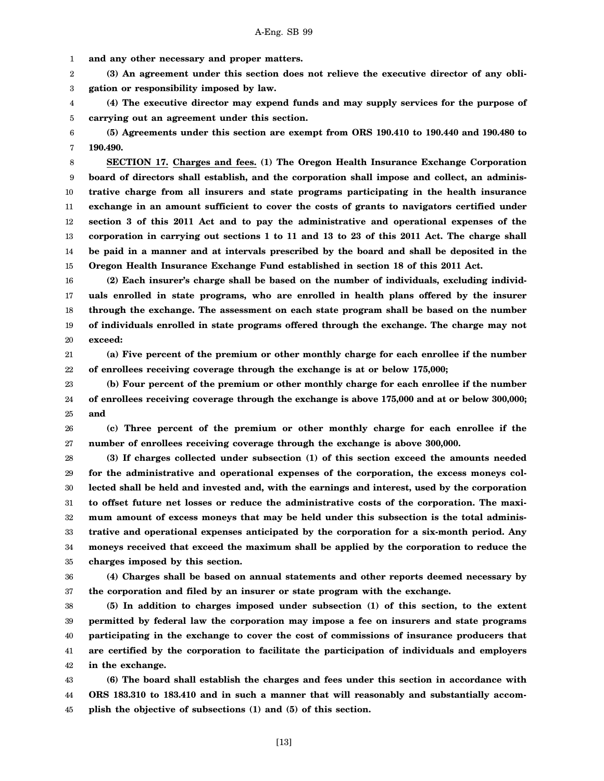1 **and any other necessary and proper matters.**

2 3 **(3) An agreement under this section does not relieve the executive director of any obligation or responsibility imposed by law.**

4 5 **(4) The executive director may expend funds and may supply services for the purpose of carrying out an agreement under this section.**

6 7 **(5) Agreements under this section are exempt from ORS 190.410 to 190.440 and 190.480 to 190.490.**

8 9 10 11 12 13 14 15 **SECTION 17. Charges and fees. (1) The Oregon Health Insurance Exchange Corporation board of directors shall establish, and the corporation shall impose and collect, an administrative charge from all insurers and state programs participating in the health insurance exchange in an amount sufficient to cover the costs of grants to navigators certified under section 3 of this 2011 Act and to pay the administrative and operational expenses of the corporation in carrying out sections 1 to 11 and 13 to 23 of this 2011 Act. The charge shall be paid in a manner and at intervals prescribed by the board and shall be deposited in the Oregon Health Insurance Exchange Fund established in section 18 of this 2011 Act.**

16 17 18 19 20 **(2) Each insurer's charge shall be based on the number of individuals, excluding individuals enrolled in state programs, who are enrolled in health plans offered by the insurer through the exchange. The assessment on each state program shall be based on the number of individuals enrolled in state programs offered through the exchange. The charge may not exceed:**

21 22 **(a) Five percent of the premium or other monthly charge for each enrollee if the number of enrollees receiving coverage through the exchange is at or below 175,000;**

23 24 25 **(b) Four percent of the premium or other monthly charge for each enrollee if the number of enrollees receiving coverage through the exchange is above 175,000 and at or below 300,000; and**

26 27 **(c) Three percent of the premium or other monthly charge for each enrollee if the number of enrollees receiving coverage through the exchange is above 300,000.**

28 29 30 31 32 33 34 35 **(3) If charges collected under subsection (1) of this section exceed the amounts needed for the administrative and operational expenses of the corporation, the excess moneys collected shall be held and invested and, with the earnings and interest, used by the corporation to offset future net losses or reduce the administrative costs of the corporation. The maximum amount of excess moneys that may be held under this subsection is the total administrative and operational expenses anticipated by the corporation for a six-month period. Any moneys received that exceed the maximum shall be applied by the corporation to reduce the charges imposed by this section.**

36 37 **(4) Charges shall be based on annual statements and other reports deemed necessary by the corporation and filed by an insurer or state program with the exchange.**

38 39 40 41 42 **(5) In addition to charges imposed under subsection (1) of this section, to the extent permitted by federal law the corporation may impose a fee on insurers and state programs participating in the exchange to cover the cost of commissions of insurance producers that are certified by the corporation to facilitate the participation of individuals and employers in the exchange.**

43 44 45 **(6) The board shall establish the charges and fees under this section in accordance with ORS 183.310 to 183.410 and in such a manner that will reasonably and substantially accomplish the objective of subsections (1) and (5) of this section.**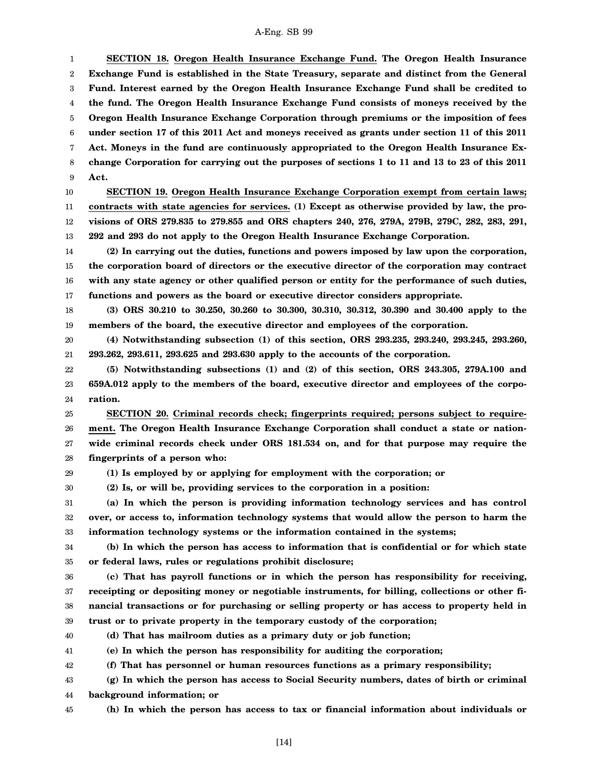1 2 3 4 5 6 7 8 9 10 11 12 13 14 15 16 17 18 19 20 21 22 23 24 25 26 27 28 29 30 31 32 33 34 35 36 37 38 39 40 41 42 43 44 45 **SECTION 18. Oregon Health Insurance Exchange Fund. The Oregon Health Insurance Exchange Fund is established in the State Treasury, separate and distinct from the General Fund. Interest earned by the Oregon Health Insurance Exchange Fund shall be credited to the fund. The Oregon Health Insurance Exchange Fund consists of moneys received by the Oregon Health Insurance Exchange Corporation through premiums or the imposition of fees under section 17 of this 2011 Act and moneys received as grants under section 11 of this 2011 Act. Moneys in the fund are continuously appropriated to the Oregon Health Insurance Exchange Corporation for carrying out the purposes of sections 1 to 11 and 13 to 23 of this 2011 Act. SECTION 19. Oregon Health Insurance Exchange Corporation exempt from certain laws; contracts with state agencies for services. (1) Except as otherwise provided by law, the provisions of ORS 279.835 to 279.855 and ORS chapters 240, 276, 279A, 279B, 279C, 282, 283, 291, 292 and 293 do not apply to the Oregon Health Insurance Exchange Corporation. (2) In carrying out the duties, functions and powers imposed by law upon the corporation, the corporation board of directors or the executive director of the corporation may contract with any state agency or other qualified person or entity for the performance of such duties, functions and powers as the board or executive director considers appropriate. (3) ORS 30.210 to 30.250, 30.260 to 30.300, 30.310, 30.312, 30.390 and 30.400 apply to the members of the board, the executive director and employees of the corporation. (4) Notwithstanding subsection (1) of this section, ORS 293.235, 293.240, 293.245, 293.260, 293.262, 293.611, 293.625 and 293.630 apply to the accounts of the corporation. (5) Notwithstanding subsections (1) and (2) of this section, ORS 243.305, 279A.100 and 659A.012 apply to the members of the board, executive director and employees of the corporation. SECTION 20. Criminal records check; fingerprints required; persons subject to requirement. The Oregon Health Insurance Exchange Corporation shall conduct a state or nationwide criminal records check under ORS 181.534 on, and for that purpose may require the fingerprints of a person who: (1) Is employed by or applying for employment with the corporation; or (2) Is, or will be, providing services to the corporation in a position: (a) In which the person is providing information technology services and has control over, or access to, information technology systems that would allow the person to harm the information technology systems or the information contained in the systems; (b) In which the person has access to information that is confidential or for which state or federal laws, rules or regulations prohibit disclosure; (c) That has payroll functions or in which the person has responsibility for receiving, receipting or depositing money or negotiable instruments, for billing, collections or other financial transactions or for purchasing or selling property or has access to property held in trust or to private property in the temporary custody of the corporation; (d) That has mailroom duties as a primary duty or job function; (e) In which the person has responsibility for auditing the corporation; (f) That has personnel or human resources functions as a primary responsibility; (g) In which the person has access to Social Security numbers, dates of birth or criminal background information; or (h) In which the person has access to tax or financial information about individuals or**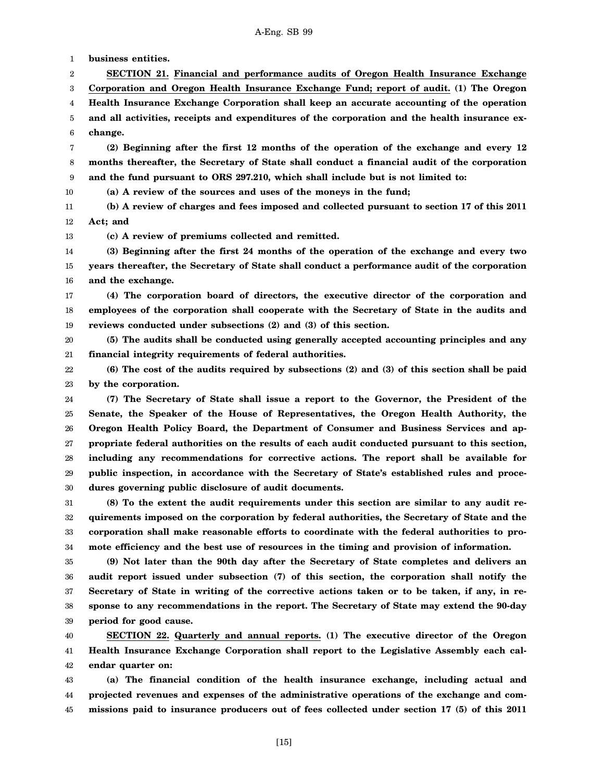1 **business entities.**

2 **SECTION 21. Financial and performance audits of Oregon Health Insurance Exchange**

3 **Corporation and Oregon Health Insurance Exchange Fund; report of audit. (1) The Oregon**

4 5 6 **Health Insurance Exchange Corporation shall keep an accurate accounting of the operation and all activities, receipts and expenditures of the corporation and the health insurance exchange.**

7 8 9 **(2) Beginning after the first 12 months of the operation of the exchange and every 12 months thereafter, the Secretary of State shall conduct a financial audit of the corporation and the fund pursuant to ORS 297.210, which shall include but is not limited to:**

10 **(a) A review of the sources and uses of the moneys in the fund;**

11 12 **(b) A review of charges and fees imposed and collected pursuant to section 17 of this 2011 Act; and**

13 **(c) A review of premiums collected and remitted.**

14 15 16 **(3) Beginning after the first 24 months of the operation of the exchange and every two years thereafter, the Secretary of State shall conduct a performance audit of the corporation and the exchange.**

17 18 19 **(4) The corporation board of directors, the executive director of the corporation and employees of the corporation shall cooperate with the Secretary of State in the audits and reviews conducted under subsections (2) and (3) of this section.**

20 21 **(5) The audits shall be conducted using generally accepted accounting principles and any financial integrity requirements of federal authorities.**

22 23 **(6) The cost of the audits required by subsections (2) and (3) of this section shall be paid by the corporation.**

24 25 26 27 28 29 30 **(7) The Secretary of State shall issue a report to the Governor, the President of the Senate, the Speaker of the House of Representatives, the Oregon Health Authority, the Oregon Health Policy Board, the Department of Consumer and Business Services and appropriate federal authorities on the results of each audit conducted pursuant to this section, including any recommendations for corrective actions. The report shall be available for public inspection, in accordance with the Secretary of State's established rules and procedures governing public disclosure of audit documents.**

31 32 33 34 **(8) To the extent the audit requirements under this section are similar to any audit requirements imposed on the corporation by federal authorities, the Secretary of State and the corporation shall make reasonable efforts to coordinate with the federal authorities to promote efficiency and the best use of resources in the timing and provision of information.**

35 36 37 38 39 **(9) Not later than the 90th day after the Secretary of State completes and delivers an audit report issued under subsection (7) of this section, the corporation shall notify the Secretary of State in writing of the corrective actions taken or to be taken, if any, in response to any recommendations in the report. The Secretary of State may extend the 90-day period for good cause.**

40 41 42 **SECTION 22. Quarterly and annual reports. (1) The executive director of the Oregon Health Insurance Exchange Corporation shall report to the Legislative Assembly each calendar quarter on:**

43 44 45 **(a) The financial condition of the health insurance exchange, including actual and projected revenues and expenses of the administrative operations of the exchange and commissions paid to insurance producers out of fees collected under section 17 (5) of this 2011**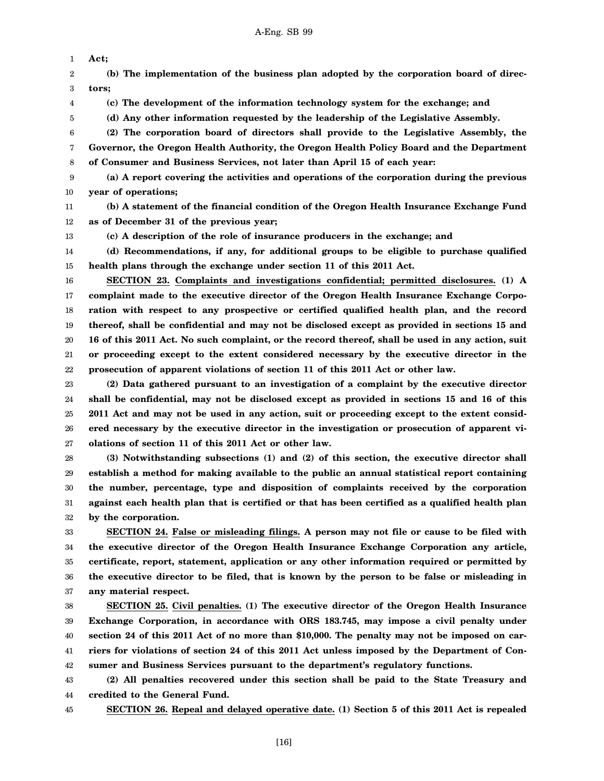1 2 3 4 5 6 7 8 9 10 11 12 13 14 15 16 17 18 19 20 21 22 23 24 **Act; (b) The implementation of the business plan adopted by the corporation board of directors; (c) The development of the information technology system for the exchange; and (d) Any other information requested by the leadership of the Legislative Assembly. (2) The corporation board of directors shall provide to the Legislative Assembly, the Governor, the Oregon Health Authority, the Oregon Health Policy Board and the Department of Consumer and Business Services, not later than April 15 of each year: (a) A report covering the activities and operations of the corporation during the previous year of operations; (b) A statement of the financial condition of the Oregon Health Insurance Exchange Fund as of December 31 of the previous year; (c) A description of the role of insurance producers in the exchange; and (d) Recommendations, if any, for additional groups to be eligible to purchase qualified health plans through the exchange under section 11 of this 2011 Act. SECTION 23. Complaints and investigations confidential; permitted disclosures. (1) A complaint made to the executive director of the Oregon Health Insurance Exchange Corporation with respect to any prospective or certified qualified health plan, and the record thereof, shall be confidential and may not be disclosed except as provided in sections 15 and 16 of this 2011 Act. No such complaint, or the record thereof, shall be used in any action, suit or proceeding except to the extent considered necessary by the executive director in the prosecution of apparent violations of section 11 of this 2011 Act or other law. (2) Data gathered pursuant to an investigation of a complaint by the executive director shall be confidential, may not be disclosed except as provided in sections 15 and 16 of this**

25 26 27 **2011 Act and may not be used in any action, suit or proceeding except to the extent considered necessary by the executive director in the investigation or prosecution of apparent violations of section 11 of this 2011 Act or other law.**

28 29 30 31 32 **(3) Notwithstanding subsections (1) and (2) of this section, the executive director shall establish a method for making available to the public an annual statistical report containing the number, percentage, type and disposition of complaints received by the corporation against each health plan that is certified or that has been certified as a qualified health plan by the corporation.**

33 34 35 36 37 **SECTION 24. False or misleading filings. A person may not file or cause to be filed with the executive director of the Oregon Health Insurance Exchange Corporation any article, certificate, report, statement, application or any other information required or permitted by the executive director to be filed, that is known by the person to be false or misleading in any material respect.**

38 39 40 41 42 **SECTION 25. Civil penalties. (1) The executive director of the Oregon Health Insurance Exchange Corporation, in accordance with ORS 183.745, may impose a civil penalty under section 24 of this 2011 Act of no more than \$10,000. The penalty may not be imposed on carriers for violations of section 24 of this 2011 Act unless imposed by the Department of Consumer and Business Services pursuant to the department's regulatory functions.**

43 44 **(2) All penalties recovered under this section shall be paid to the State Treasury and credited to the General Fund.**

45

**SECTION 26. Repeal and delayed operative date. (1) Section 5 of this 2011 Act is repealed**